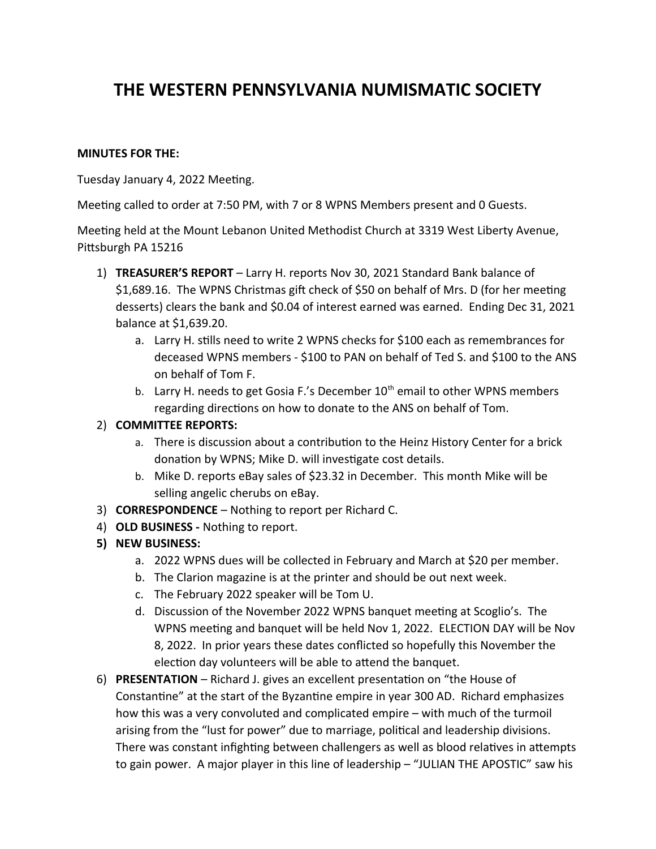## THE WESTERN PENNSYLVANIA NUMISMATIC SOCIETY

## **MINUTES FOR THE:**

Tuesday January 4, 2022 Meeting.

Meeting called to order at 7:50 PM, with 7 or 8 WPNS Members present and 0 Guests.

Meeting held at the Mount Lebanon United Methodist Church at 3319 West Liberty Avenue, Pittsburgh PA 15216

- 1) TREASURER'S REPORT Larry H. reports Nov 30, 2021 Standard Bank balance of \$1,689.16. The WPNS Christmas gift check of \$50 on behalf of Mrs. D (for her meeting desserts) clears the bank and \$0.04 of interest earned was earned. Ending Dec 31, 2021 balance at \$1,639.20.
	- a. Larry H. stills need to write 2 WPNS checks for \$100 each as remembrances for deceased WPNS members - \$100 to PAN on behalf of Ted S. and \$100 to the ANS on behalf of Tom F.
	- b. Larry H. needs to get Gosia F.'s December 10<sup>th</sup> email to other WPNS members regarding directions on how to donate to the ANS on behalf of Tom.

## 2) COMMITTEE REPORTS:

- a. There is discussion about a contribution to the Heinz History Center for a brick donation by WPNS; Mike D. will investigate cost details.
- b. Mike D. reports eBay sales of \$23.32 in December. This month Mike will be selling angelic cherubs on eBay.
- 3) CORRESPONDENCE Nothing to report per Richard C.
- 4) OLD BUSINESS Nothing to report.
- 5) NEW BUSINESS:
	- a. 2022 WPNS dues will be collected in February and March at \$20 per member.
	- b. The Clarion magazine is at the printer and should be out next week.
	- c. The February 2022 speaker will be Tom U.
	- d. Discussion of the November 2022 WPNS banquet meeting at Scoglio's. The WPNS meeting and banquet will be held Nov 1, 2022. ELECTION DAY will be Nov 8, 2022. In prior years these dates conflicted so hopefully this November the election day volunteers will be able to attend the banquet.
- 6) PRESENTATION Richard J. gives an excellent presentation on "the House of Constantine" at the start of the Byzantine empire in year 300 AD. Richard emphasizes how this was a very convoluted and complicated empire - with much of the turmoil arising from the "lust for power" due to marriage, political and leadership divisions. There was constant infighting between challengers as well as blood relatives in attempts to gain power. A major player in this line of leadership - "JULIAN THE APOSTIC" saw his